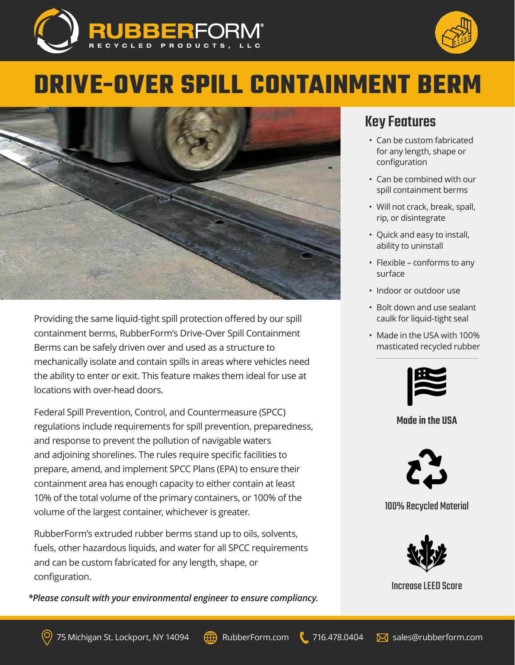



# **DRIVE-OVER SPILL CONTAINMENT BERM**



Providing the same liquid-tight spill protection offered by our spill containment berms, RubberForm's Drive-Over Spill Containment Berms can be safely driven over and used as a structure to mechanically isolate and contain spills in areas where vehicles need the ability to enter or exit. This feature makes them ideal for use at locations with over-head doors.

Federal Spill Prevention, Control, and Countermeasure (SPCC) regulations include requirements for spill prevention, preparedness, and response to prevent the pollution of navigable waters and adjoining shorelines. The rules require specific facilities to prepare, amend, and implement SPCC Plans (EPA) to ensure their containment area has enough capacity to either contain at least 10% of the total volume of the primary containers, or 100% of the volume of the largest container, whichever is greater.

RubberForm's extruded rubber berms stand up to oils, solvents, fuels, other hazardous liquids, and water for all SPCC requirements and can be custom fabricated for any length, shape, or configuration.

*\*Please consult with your environmental engineer to ensure compliancy.*

## Key Features

- Can be custom fabricated for any length, shape or configuration
- Can be combined with our spill containment berms
- Will not crack, break, spall, rip, or disintegrate
- Quick and easy to install, ability to uninstall
- Flexible conforms to any surface
- Indoor or outdoor use
- Bolt down and use sealant caulk for liquid-tight seal
- Made in the USA with 100% masticated recycled rubber



#### Made in the USA



#### 100% Recycled Material



Increase LEED Score